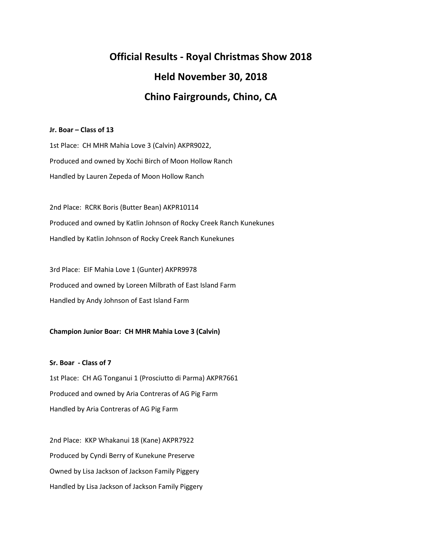# **Official Results - Royal Christmas Show 2018 Held November 30, 2018 Chino Fairgrounds, Chino, CA**

# **Jr. Boar – Class of 13**

1st Place: CH MHR Mahia Love 3 (Calvin) AKPR9022, Produced and owned by Xochi Birch of Moon Hollow Ranch Handled by Lauren Zepeda of Moon Hollow Ranch

2nd Place: RCRK Boris (Butter Bean) AKPR10114 Produced and owned by Katlin Johnson of Rocky Creek Ranch Kunekunes Handled by Katlin Johnson of Rocky Creek Ranch Kunekunes

3rd Place: EIF Mahia Love 1 (Gunter) AKPR9978 Produced and owned by Loreen Milbrath of East Island Farm Handled by Andy Johnson of East Island Farm

# **Champion Junior Boar: CH MHR Mahia Love 3 (Calvin)**

**Sr. Boar - Class of 7**

1st Place: CH AG Tonganui 1 (Prosciutto di Parma) AKPR7661 Produced and owned by Aria Contreras of AG Pig Farm Handled by Aria Contreras of AG Pig Farm

2nd Place: KKP Whakanui 18 (Kane) AKPR7922 Produced by Cyndi Berry of Kunekune Preserve Owned by Lisa Jackson of Jackson Family Piggery Handled by Lisa Jackson of Jackson Family Piggery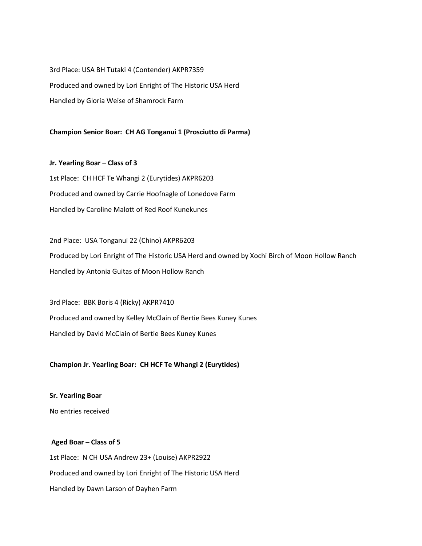3rd Place: USA BH Tutaki 4 (Contender) AKPR7359 Produced and owned by Lori Enright of The Historic USA Herd Handled by Gloria Weise of Shamrock Farm

# **Champion Senior Boar: CH AG Tonganui 1 (Prosciutto di Parma)**

**Jr. Yearling Boar – Class of 3** 1st Place: CH HCF Te Whangi 2 (Eurytides) AKPR6203 Produced and owned by Carrie Hoofnagle of Lonedove Farm Handled by Caroline Malott of Red Roof Kunekunes

2nd Place: USA Tonganui 22 (Chino) AKPR6203 Produced by Lori Enright of The Historic USA Herd and owned by Xochi Birch of Moon Hollow Ranch Handled by Antonia Guitas of Moon Hollow Ranch

3rd Place: BBK Boris 4 (Ricky) AKPR7410 Produced and owned by Kelley McClain of Bertie Bees Kuney Kunes Handled by David McClain of Bertie Bees Kuney Kunes

# **Champion Jr. Yearling Boar: CH HCF Te Whangi 2 (Eurytides)**

**Sr. Yearling Boar** No entries received

# **Aged Boar – Class of 5** 1st Place: N CH USA Andrew 23+ (Louise) AKPR2922 Produced and owned by Lori Enright of The Historic USA Herd Handled by Dawn Larson of Dayhen Farm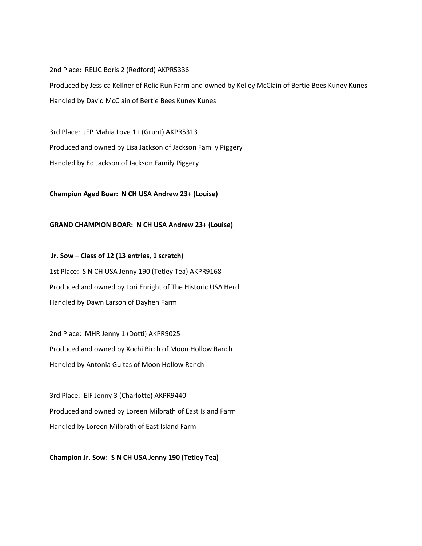2nd Place: RELIC Boris 2 (Redford) AKPR5336 Produced by Jessica Kellner of Relic Run Farm and owned by Kelley McClain of Bertie Bees Kuney Kunes Handled by David McClain of Bertie Bees Kuney Kunes

3rd Place: JFP Mahia Love 1+ (Grunt) AKPR5313 Produced and owned by Lisa Jackson of Jackson Family Piggery Handled by Ed Jackson of Jackson Family Piggery

**Champion Aged Boar: N CH USA Andrew 23+ (Louise)**

#### **GRAND CHAMPION BOAR: N CH USA Andrew 23+ (Louise)**

**Jr. Sow – Class of 12 (13 entries, 1 scratch)** 1st Place: S N CH USA Jenny 190 (Tetley Tea) AKPR9168 Produced and owned by Lori Enright of The Historic USA Herd Handled by Dawn Larson of Dayhen Farm

2nd Place: MHR Jenny 1 (Dotti) AKPR9025 Produced and owned by Xochi Birch of Moon Hollow Ranch Handled by Antonia Guitas of Moon Hollow Ranch

3rd Place: EIF Jenny 3 (Charlotte) AKPR9440 Produced and owned by Loreen Milbrath of East Island Farm Handled by Loreen Milbrath of East Island Farm

**Champion Jr. Sow: S N CH USA Jenny 190 (Tetley Tea)**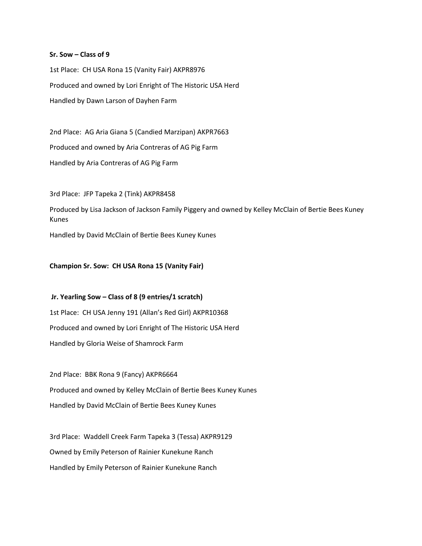#### **Sr. Sow – Class of 9**

1st Place: CH USA Rona 15 (Vanity Fair) AKPR8976 Produced and owned by Lori Enright of The Historic USA Herd Handled by Dawn Larson of Dayhen Farm

2nd Place: AG Aria Giana 5 (Candied Marzipan) AKPR7663 Produced and owned by Aria Contreras of AG Pig Farm Handled by Aria Contreras of AG Pig Farm

3rd Place: JFP Tapeka 2 (Tink) AKPR8458

Produced by Lisa Jackson of Jackson Family Piggery and owned by Kelley McClain of Bertie Bees Kuney Kunes

Handled by David McClain of Bertie Bees Kuney Kunes

#### **Champion Sr. Sow: CH USA Rona 15 (Vanity Fair)**

**Jr. Yearling Sow – Class of 8 (9 entries/1 scratch)** 1st Place: CH USA Jenny 191 (Allan's Red Girl) AKPR10368 Produced and owned by Lori Enright of The Historic USA Herd Handled by Gloria Weise of Shamrock Farm

2nd Place: BBK Rona 9 (Fancy) AKPR6664 Produced and owned by Kelley McClain of Bertie Bees Kuney Kunes Handled by David McClain of Bertie Bees Kuney Kunes

3rd Place: Waddell Creek Farm Tapeka 3 (Tessa) AKPR9129 Owned by Emily Peterson of Rainier Kunekune Ranch Handled by Emily Peterson of Rainier Kunekune Ranch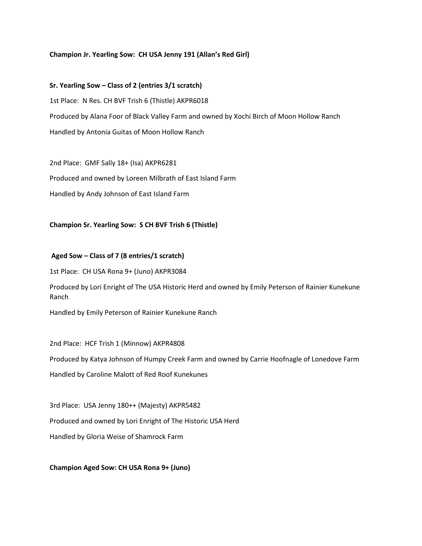#### **Champion Jr. Yearling Sow: CH USA Jenny 191 (Allan's Red Girl)**

**Sr. Yearling Sow – Class of 2 (entries 3/1 scratch)** 1st Place: N Res. CH BVF Trish 6 (Thistle) AKPR6018 Produced by Alana Foor of Black Valley Farm and owned by Xochi Birch of Moon Hollow Ranch Handled by Antonia Guitas of Moon Hollow Ranch

2nd Place: GMF Sally 18+ (Isa) AKPR6281 Produced and owned by Loreen Milbrath of East Island Farm Handled by Andy Johnson of East Island Farm

**Champion Sr. Yearling Sow: S CH BVF Trish 6 (Thistle)**

#### **Aged Sow – Class of 7 (8 entries/1 scratch)**

1st Place: CH USA Rona 9+ (Juno) AKPR3084

Produced by Lori Enright of The USA Historic Herd and owned by Emily Peterson of Rainier Kunekune Ranch

Handled by Emily Peterson of Rainier Kunekune Ranch

2nd Place: HCF Trish 1 (Minnow) AKPR4808 Produced by Katya Johnson of Humpy Creek Farm and owned by Carrie Hoofnagle of Lonedove Farm Handled by Caroline Malott of Red Roof Kunekunes

3rd Place: USA Jenny 180++ (Majesty) AKPR5482 Produced and owned by Lori Enright of The Historic USA Herd Handled by Gloria Weise of Shamrock Farm

**Champion Aged Sow: CH USA Rona 9+ (Juno)**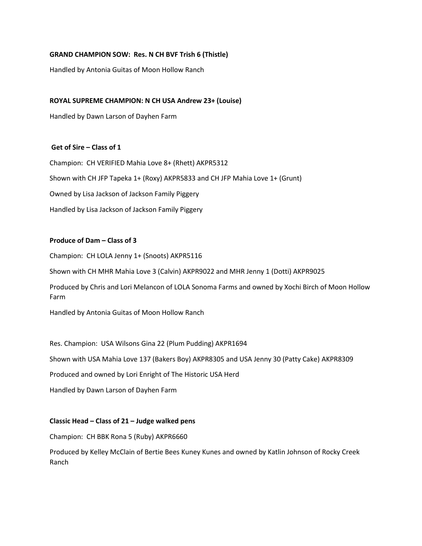# **GRAND CHAMPION SOW: Res. N CH BVF Trish 6 (Thistle)**

Handled by Antonia Guitas of Moon Hollow Ranch

# **ROYAL SUPREME CHAMPION: N CH USA Andrew 23+ (Louise)**

Handled by Dawn Larson of Dayhen Farm

# **Get of Sire – Class of 1**

Champion: CH VERIFIED Mahia Love 8+ (Rhett) AKPR5312 Shown with CH JFP Tapeka 1+ (Roxy) AKPR5833 and CH JFP Mahia Love 1+ (Grunt) Owned by Lisa Jackson of Jackson Family Piggery Handled by Lisa Jackson of Jackson Family Piggery

# **Produce of Dam – Class of 3**

Champion: CH LOLA Jenny 1+ (Snoots) AKPR5116

Shown with CH MHR Mahia Love 3 (Calvin) AKPR9022 and MHR Jenny 1 (Dotti) AKPR9025

Produced by Chris and Lori Melancon of LOLA Sonoma Farms and owned by Xochi Birch of Moon Hollow Farm

Handled by Antonia Guitas of Moon Hollow Ranch

Res. Champion: USA Wilsons Gina 22 (Plum Pudding) AKPR1694

Shown with USA Mahia Love 137 (Bakers Boy) AKPR8305 and USA Jenny 30 (Patty Cake) AKPR8309

Produced and owned by Lori Enright of The Historic USA Herd

Handled by Dawn Larson of Dayhen Farm

#### **Classic Head – Class of 21 – Judge walked pens**

Champion: CH BBK Rona 5 (Ruby) AKPR6660

Produced by Kelley McClain of Bertie Bees Kuney Kunes and owned by Katlin Johnson of Rocky Creek Ranch